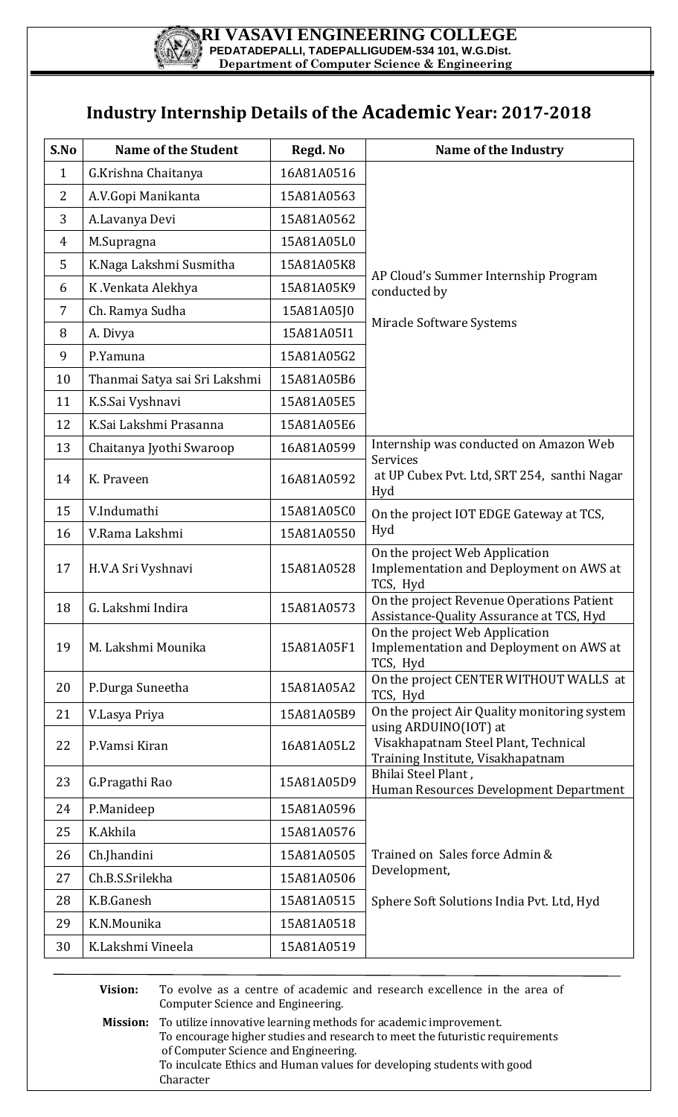

## **Industry Internship Details of the Academic Year: 2017-2018**

| S.No         | <b>Name of the Student</b>    | Regd. No   | Name of the Industry                                                                               |
|--------------|-------------------------------|------------|----------------------------------------------------------------------------------------------------|
| $\mathbf{1}$ | G.Krishna Chaitanya           | 16A81A0516 |                                                                                                    |
| 2            | A.V.Gopi Manikanta            | 15A81A0563 |                                                                                                    |
| 3            | A.Lavanya Devi                | 15A81A0562 |                                                                                                    |
| 4            | M.Supragna                    | 15A81A05L0 |                                                                                                    |
| 5            | K.Naga Lakshmi Susmitha       | 15A81A05K8 |                                                                                                    |
| 6            | K.Venkata Alekhya             | 15A81A05K9 | AP Cloud's Summer Internship Program<br>conducted by                                               |
| 7            | Ch. Ramya Sudha               | 15A81A05J0 |                                                                                                    |
| 8            | A. Divya                      | 15A81A05I1 | Miracle Software Systems                                                                           |
| 9            | P.Yamuna                      | 15A81A05G2 |                                                                                                    |
| 10           | Thanmai Satya sai Sri Lakshmi | 15A81A05B6 |                                                                                                    |
| 11           | K.S.Sai Vyshnavi              | 15A81A05E5 |                                                                                                    |
| 12           | K.Sai Lakshmi Prasanna        | 15A81A05E6 |                                                                                                    |
| 13           | Chaitanya Jyothi Swaroop      | 16A81A0599 | Internship was conducted on Amazon Web                                                             |
| 14           | K. Praveen                    | 16A81A0592 | Services<br>at UP Cubex Pvt. Ltd, SRT 254, santhi Nagar<br>Hyd                                     |
| 15           | V.Indumathi                   | 15A81A05C0 | On the project IOT EDGE Gateway at TCS,                                                            |
| 16           | V.Rama Lakshmi                | 15A81A0550 | Hyd                                                                                                |
| 17           | H.V.A Sri Vyshnavi            | 15A81A0528 | On the project Web Application<br>Implementation and Deployment on AWS at<br>TCS, Hyd              |
| 18           | G. Lakshmi Indira             | 15A81A0573 | On the project Revenue Operations Patient<br>Assistance-Quality Assurance at TCS, Hyd              |
| 19           | M. Lakshmi Mounika            | 15A81A05F1 | On the project Web Application<br>Implementation and Deployment on AWS at<br>TCS, Hyd              |
| 20           | P.Durga Suneetha              | 15A81A05A2 | On the project CENTER WITHOUT WALLS at<br>TCS, Hyd                                                 |
| 21           | V.Lasya Priya                 | 15A81A05B9 | On the project Air Quality monitoring system                                                       |
| 22           | P.Vamsi Kiran                 | 16A81A05L2 | using ARDUINO(IOT) at<br>Visakhapatnam Steel Plant, Technical<br>Training Institute, Visakhapatnam |
| 23           | G.Pragathi Rao                | 15A81A05D9 | Bhilai Steel Plant,<br>Human Resources Development Department                                      |
| 24           | P.Manideep                    | 15A81A0596 |                                                                                                    |
| 25           | K.Akhila                      | 15A81A0576 |                                                                                                    |
| 26           | Ch.Jhandini                   | 15A81A0505 | Trained on Sales force Admin &                                                                     |
| 27           | Ch.B.S.Srilekha               | 15A81A0506 | Development,                                                                                       |
| 28           | K.B.Ganesh                    | 15A81A0515 | Sphere Soft Solutions India Pvt. Ltd, Hyd                                                          |
| 29           | K.N.Mounika                   | 15A81A0518 |                                                                                                    |
| 30           | K.Lakshmi Vineela             | 15A81A0519 |                                                                                                    |

| Vision: | To evolve as a centre of academic and research excellence in the area of<br>Computer Science and Engineering.                                                                                                                                                                            |
|---------|------------------------------------------------------------------------------------------------------------------------------------------------------------------------------------------------------------------------------------------------------------------------------------------|
|         | Mission: To utilize innovative learning methods for academic improvement.<br>To encourage higher studies and research to meet the futuristic requirements<br>of Computer Science and Engineering.<br>To inculcate Ethics and Human values for developing students with good<br>Character |